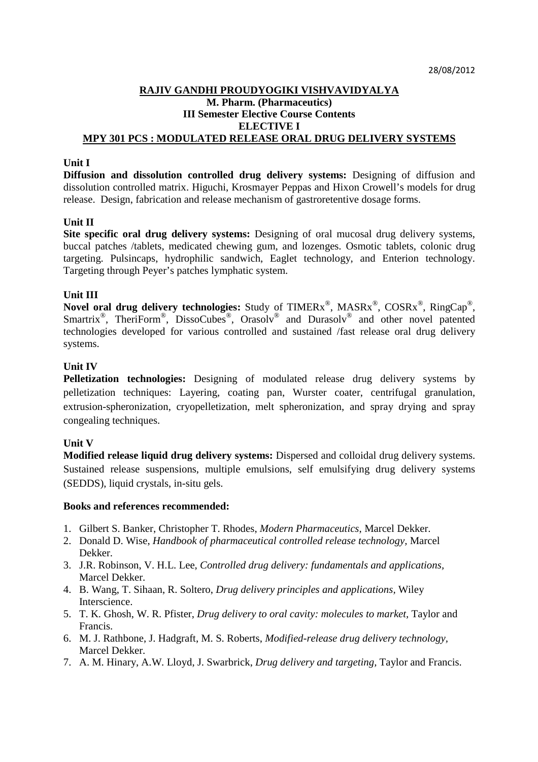## **RAJIV GANDHI PROUDYOGIKI VISHVAVIDYALYA M. Pharm. (Pharmaceutics) III Semester Elective Course Contents ELECTIVE I MPY 301 PCS : MODULATED RELEASE ORAL DRUG DELIVERY SYSTEMS**

### **Unit I**

**Diffusion and dissolution controlled drug delivery systems:** Designing of diffusion and dissolution controlled matrix. Higuchi, Krosmayer Peppas and Hixon Crowell's models for drug release. Design, fabrication and release mechanism of gastroretentive dosage forms.

## **Unit II**

**Site specific oral drug delivery systems:** Designing of oral mucosal drug delivery systems, buccal patches /tablets, medicated chewing gum, and lozenges. Osmotic tablets, colonic drug targeting. Pulsincaps, hydrophilic sandwich, Eaglet technology, and Enterion technology. Targeting through Peyer's patches lymphatic system.

## **Unit III**

**Novel oral drug delivery technologies:** Study of TIMERx®, MASRx®, COSRx®, RingCap®, Smartrix<sup>®</sup>, TheriForm<sup>®</sup>, DissoCubes<sup>®</sup>, Orasolv<sup>®</sup> and Durasolv<sup>®</sup> and other novel patented technologies developed for various controlled and sustained /fast release oral drug delivery systems.

## **Unit IV**

**Pelletization technologies:** Designing of modulated release drug delivery systems by pelletization techniques: Layering, coating pan, Wurster coater, centrifugal granulation, extrusion-spheronization, cryopelletization, melt spheronization, and spray drying and spray congealing techniques.

## **Unit V**

**Modified release liquid drug delivery systems:** Dispersed and colloidal drug delivery systems. Sustained release suspensions, multiple emulsions, self emulsifying drug delivery systems (SEDDS), liquid crystals, in-situ gels.

- 1. Gilbert S. Banker, Christopher T. Rhodes, *Modern Pharmaceutics*, Marcel Dekker.
- 2. Donald D. Wise, *Handbook of pharmaceutical controlled release technology,* Marcel Dekker.
- 3. J.R. Robinson, V. H.L. Lee, *Controlled drug delivery: fundamentals and applications,* Marcel Dekker.
- 4. B. Wang, T. Sihaan, R. Soltero, *Drug delivery principles and applications,* Wiley Interscience.
- 5. T. K. Ghosh, W. R. Pfister, *Drug delivery to oral cavity: molecules to market,* Taylor and Francis.
- 6. M. J. Rathbone, J. Hadgraft, M. S. Roberts, *Modified-release drug delivery technology,* Marcel Dekker.
- 7. A. M. Hinary, A.W. Lloyd, J. Swarbrick, *Drug delivery and targeting,* Taylor and Francis.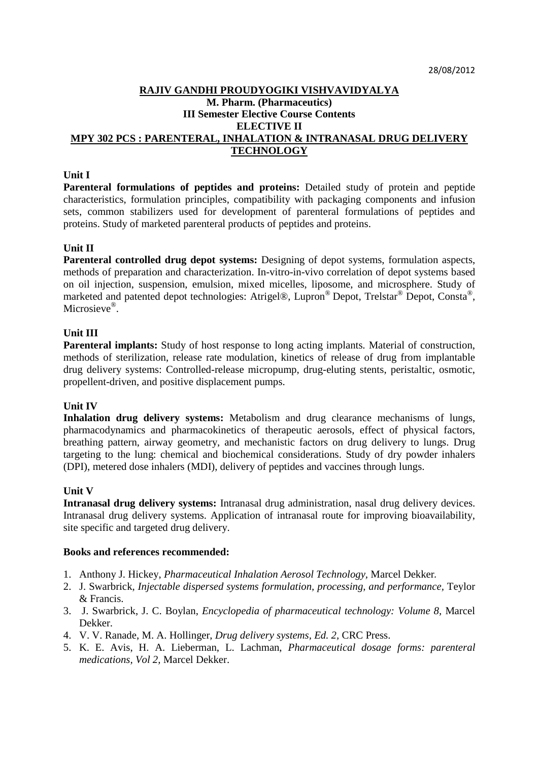## **RAJIV GANDHI PROUDYOGIKI VISHVAVIDYALYA M. Pharm. (Pharmaceutics) III Semester Elective Course Contents ELECTIVE II MPY 302 PCS : PARENTERAL, INHALATION & INTRANASAL DRUG DELIVERY TECHNOLOGY**

## **Unit I**

Parenteral formulations of peptides and proteins: Detailed study of protein and peptide characteristics, formulation principles, compatibility with packaging components and infusion sets, common stabilizers used for development of parenteral formulations of peptides and proteins. Study of marketed parenteral products of peptides and proteins.

## **Unit II**

Parenteral controlled drug depot systems: Designing of depot systems, formulation aspects, methods of preparation and characterization. In-vitro-in-vivo correlation of depot systems based on oil injection, suspension, emulsion, mixed micelles, liposome, and microsphere. Study of marketed and patented depot technologies: Atrigel®, Lupron® Depot, Trelstar® Depot, Consta®, Microsieve®.

## **Unit III**

**Parenteral implants:** Study of host response to long acting implants. Material of construction, methods of sterilization, release rate modulation, kinetics of release of drug from implantable drug delivery systems: Controlled-release micropump, drug-eluting stents, peristaltic, osmotic, propellent-driven, and positive displacement pumps.

#### **Unit IV**

**Inhalation drug delivery systems:** Metabolism and drug clearance mechanisms of lungs, pharmacodynamics and pharmacokinetics of therapeutic aerosols, effect of physical factors, breathing pattern, airway geometry, and mechanistic factors on drug delivery to lungs. Drug targeting to the lung: chemical and biochemical considerations. Study of dry powder inhalers (DPI), metered dose inhalers (MDI), delivery of peptides and vaccines through lungs.

## **Unit V**

**Intranasal drug delivery systems:** Intranasal drug administration, nasal drug delivery devices. Intranasal drug delivery systems. Application of intranasal route for improving bioavailability, site specific and targeted drug delivery.

- 1. Anthony J. Hickey, *Pharmaceutical Inhalation Aerosol Technology,* Marcel Dekker.
- 2. J. Swarbrick*, Injectable dispersed systems formulation, processing, and performance,* Teylor & Francis.
- 3. J. Swarbrick, J. C. Boylan, *Encyclopedia of pharmaceutical technology: Volume 8,* Marcel Dekker.
- 4. V. V. Ranade, M. A. Hollinger, *Drug delivery systems, Ed. 2,* CRC Press.
- 5. K. E. Avis, H. A. Lieberman, L. Lachman, *Pharmaceutical dosage forms: parenteral medications, Vol 2,* Marcel Dekker.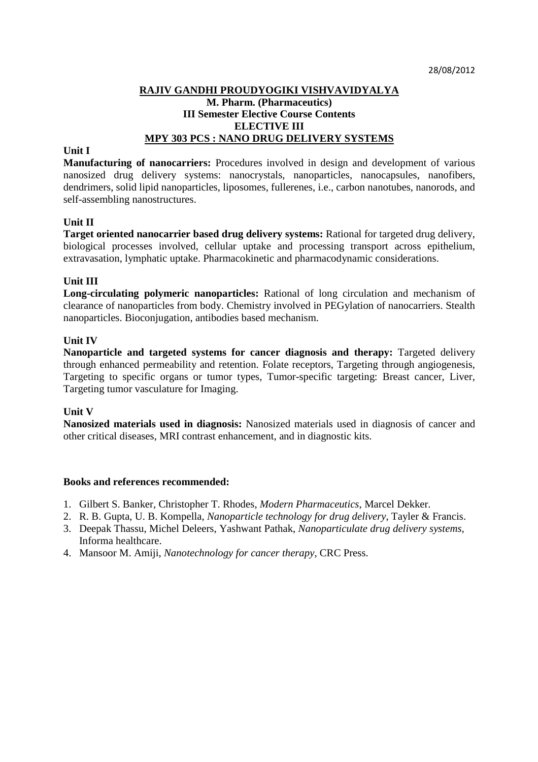# **RAJIV GANDHI PROUDYOGIKI VISHVAVIDYALYA M. Pharm. (Pharmaceutics) III Semester Elective Course Contents ELECTIVE III MPY 303 PCS : NANO DRUG DELIVERY SYSTEMS**

#### **Unit I**

**Manufacturing of nanocarriers:** Procedures involved in design and development of various nanosized drug delivery systems: nanocrystals, nanoparticles, nanocapsules, nanofibers, dendrimers, solid lipid nanoparticles, liposomes, fullerenes, i.e., carbon nanotubes, nanorods, and self-assembling nanostructures.

## **Unit II**

**Target oriented nanocarrier based drug delivery systems:** Rational for targeted drug delivery, biological processes involved, cellular uptake and processing transport across epithelium, extravasation, lymphatic uptake. Pharmacokinetic and pharmacodynamic considerations.

#### **Unit III**

**Long-circulating polymeric nanoparticles:** Rational of long circulation and mechanism of clearance of nanoparticles from body. Chemistry involved in PEGylation of nanocarriers. Stealth nanoparticles. Bioconjugation, antibodies based mechanism.

#### **Unit IV**

**Nanoparticle and targeted systems for cancer diagnosis and therapy:** Targeted delivery through enhanced permeability and retention. Folate receptors, Targeting through angiogenesis, Targeting to specific organs or tumor types, Tumor-specific targeting: Breast cancer, Liver, Targeting tumor vasculature for Imaging.

## **Unit V**

**Nanosized materials used in diagnosis:** Nanosized materials used in diagnosis of cancer and other critical diseases, MRI contrast enhancement, and in diagnostic kits.

- 1. Gilbert S. Banker, Christopher T. Rhodes, *Modern Pharmaceutics*, Marcel Dekker.
- 2. R. B. Gupta, U. B. Kompella*, Nanoparticle technology for drug delivery*, Tayler & Francis.
- 3. Deepak Thassu, Michel Deleers, Yashwant Pathak, *Nanoparticulate drug delivery systems,* Informa healthcare.
- 4. Mansoor M. Amiji, *Nanotechnology for cancer therapy,* CRC Press.